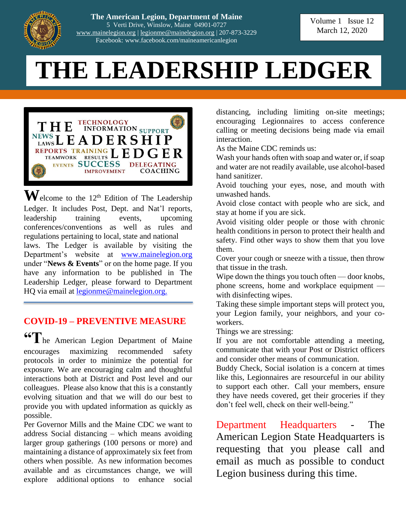

**The American Legion, Department of Maine** 5 Verti Drive, Winslow, Maine 04901-0727 [www.mainelegion.org](http://www.mainelegion.org/) | [legionme@mainelegion.org](mailto:legionme@mainelegion.org) | 207-873-3229 Facebook: www.facebook.com/maineamericanlegion

# **THE LEADERSHIP LEDGER**



 $\mathbf{W}$ elcome to the 12<sup>th</sup> Edition of The Leadership Ledger. It includes Post, Dept. and Nat'l reports, leadership training events, upcoming conferences/conventions as well as rules and regulations pertaining to local, state and national laws. The Ledger is available by visiting the Department's website at [www.mainelegion.org](http://www.mainelegion.org/) under "**News & Events**" or on the home page. If you have any information to be published in The Leadership Ledger, please forward to Department HQ via email at <u>legionme@mainelegion.org.</u>

# **COVID-19 – PREVENTIVE MEASURE**

**"T**he American Legion Department of Maine encourages maximizing recommended safety protocols in order to minimize the potential for exposure. We are encouraging calm and thoughtful interactions both at District and Post level and our colleagues. Please also know that this is a constantly evolving situation and that we will do our best to provide you with updated information as quickly as possible.

Per Governor Mills and the Maine CDC we want to address Social distancing – which means avoiding larger group gatherings (100 persons or more) and maintaining a distance of approximately six feet from others when possible. As new information becomes available and as circumstances change, we will explore additional options to enhance social

distancing, including limiting on-site meetings; encouraging Legionnaires to access conference calling or meeting decisions being made via email interaction.

As the Maine CDC reminds us:

Wash your hands often with soap and water or, if soap and water are not readily available, use alcohol-based hand sanitizer.

Avoid touching your eyes, nose, and mouth with unwashed hands.

Avoid close contact with people who are sick, and stay at home if you are sick.

Avoid visiting older people or those with chronic health conditions in person to protect their health and safety. Find other ways to show them that you love them.

Cover your cough or sneeze with a tissue, then throw that tissue in the trash.

Wipe down the things you touch often — door knobs, phone screens, home and workplace equipment with disinfecting wipes.

Taking these simple important steps will protect you, your Legion family, your neighbors, and your coworkers.

Things we are stressing:

If you are not comfortable attending a meeting, communicate that with your Post or District officers and consider other means of communication.

Buddy Check, Social isolation is a concern at times like this, Legionnaires are resourceful in our ability to support each other. Call your members, ensure they have needs covered, get their groceries if they don't feel well, check on their well-being."

Department Headquarters - The American Legion State Headquarters is requesting that you please call and email as much as possible to conduct Legion business during this time.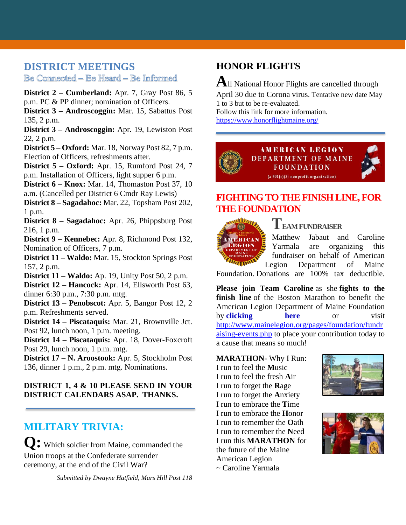#### **DISTRICT MEETINGS** Be Connected - Be Heard - Be Informed

**District 2 – Cumberland:** Apr. 7, Gray Post 86, 5 p.m. PC & PP dinner; nomination of Officers.

**District 3 – Androscoggin:** Mar. 15, Sabattus Post 135, 2 p.m.

**District 3 – Androscoggin:** Apr. 19, Lewiston Post 22, 2 p.m.

**District 5 – Oxford:** Mar. 18, Norway Post 82, 7 p.m. Election of Officers, refreshments after.

**District 5 – Oxford:** Apr. 15, Rumford Post 24, 7 p.m. Installation of Officers, light supper 6 p.m.

**District 6 – Knox:** Mar. 14, Thomaston Post 37, 10 a.m. (Cancelled per District 6 Cmdr Ray Lewis)

**District 8 – Sagadahoc:** Mar. 22, Topsham Post 202, 1 p.m.

**District 8 – Sagadahoc:** Apr. 26, Phippsburg Post 216, 1 p.m.

**District 9 – Kennebec:** Apr. 8, Richmond Post 132, Nomination of Officers, 7 p.m.

**District 11 – Waldo:** Mar. 15, Stockton Springs Post 157, 2 p.m.

**District 11 – Waldo:** Ap. 19, Unity Post 50, 2 p.m.

**District 12 – Hancock:** Apr. 14, Ellsworth Post 63, dinner 6:30 p.m., 7:30 p.m. mtg.

**District 13 – Penobscot:** Apr. 5, Bangor Post 12, 2 p.m. Refreshments served.

**District 14 – Piscataquis:** Mar. 21, Brownville Jct. Post 92, lunch noon, 1 p.m. meeting.

**District 14 – Piscataquis:** Apr. 18, Dover-Foxcroft Post 29, lunch noon, 1 p.m. mtg.

**District 17 – N. Aroostook:** Apr. 5, Stockholm Post 136, dinner 1 p.m., 2 p.m. mtg. Nominations.

#### **DISTRICT 1, 4 & 10 PLEASE SEND IN YOUR DISTRICT CALENDARS ASAP. THANKS.**

## **MILITARY TRIVIA:**

**Q:** Which soldier from Maine, commanded the Union troops at the Confederate surrender ceremony, at the end of the Civil War?

*Submitted by Dwayne Hatfield, Mars Hill Post 118*

## **HONOR FLIGHTS**

**A**ll National Honor Flights are cancelled through April 30 due to Corona virus. Tentative new date May 1 to 3 but to be re-evaluated. Follow this link for more information.

<https://www.honorflightmaine.org/>



## **[FIGHTING TO THE FINISH LINE, FOR](https://www.gofundme.com/f/5hx779-a-cause-i-care-about-needs-help?utm_source=customer&utm_medium=copy_link&utm_campaign=p_cf+share-flow-1)  [THE FOUNDATION](https://www.gofundme.com/f/5hx779-a-cause-i-care-about-needs-help?utm_source=customer&utm_medium=copy_link&utm_campaign=p_cf+share-flow-1)**



## **TEAM FUNDRAISER**

Matthew Jabaut and Caroline Yarmala are organizing this fundraiser on behalf of American [L](https://www.gofundme.com/f/5hx779-a-cause-i-care-about-needs-help?utm_source=customer&utm_medium=copy_link&utm_campaign=p_cf+share-flow-1)egion Department of Maine

Foundation. Donations are 100% tax deductible.

**Please join Team Caroline** as she **fights to the finish line** of the Boston Marathon to benefit the American Legion Department of Maine Foundation by **[clicking here](https://www.gofundme.com/f/5hx779-a-cause-i-care-about-needs-help?utm_source=customer&utm_medium=copy_link&utm_campaign=p_cf+share-flow-1)** or visit [http://www.mainelegion.org/pages/foundation/fundr](http://www.mainelegion.org/pages/foundation/fundraising-events.php) [aising-events.php](http://www.mainelegion.org/pages/foundation/fundraising-events.php) to place your contribution today to a cause that means so much!

#### **MARATHON**- Why I Run:

I run to feel the **M**usic I run to feel the fresh **A**ir I run to forget the **R**age I run to forget the **A**nxiety I run to embrace the **T**ime I run to embrace the **H**onor I run to remember the **O**ath I run to remember the **N**eed I run this **MARATHON** for the future of the Maine American Legion ~ Caroline Yarmala



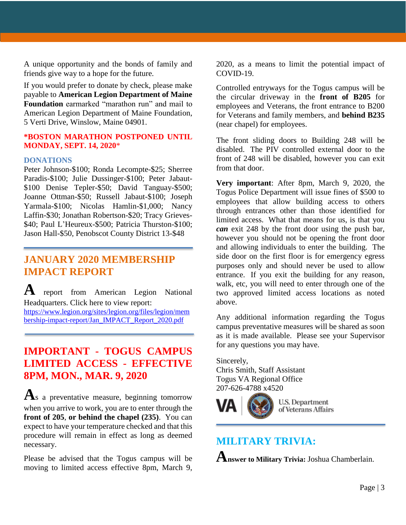A unique opportunity and the bonds of family and friends give way to a hope for the future.

If you would prefer to donate by check, please make payable to **American Legion Department of Maine Foundation** earmarked "marathon run" and mail to American Legion Department of Maine Foundation, 5 Verti Drive, Winslow, Maine 04901.

#### **\*BOSTON MARATHON POSTPONED UNTIL MONDAY, SEPT. 14, 2020**\*

#### **DONATIONS**

Peter Johnson-\$100; Ronda Lecompte-\$25; Sherree Paradis-\$100; Julie Dussinger-\$100; Peter Jabaut- \$100 Denise Tepler-\$50; David Tanguay-\$500; Joanne Ottman-\$50; Russell Jabaut-\$100; Joseph Yarmala-\$100; Nicolas Hamlin-\$1,000; Nancy Laffin-\$30; Jonathan Robertson-\$20; Tracy Grieves- \$40; Paul L'Heureux-\$500; Patricia Thurston-\$100; Jason Hall-\$50, Penobscot County District 13-\$48

## **JANUARY 2020 MEMBERSHIP IMPACT REPORT**

**A** report from American Legion National Headquarters. Click here to view report: [https://www.legion.org/sites/legion.org/files/legion/mem](https://www.legion.org/sites/legion.org/files/legion/membership-impact-report/Jan_IMPACT_Report_2020.pdf) [bership-impact-report/Jan\\_IMPACT\\_Report\\_2020.pdf](https://www.legion.org/sites/legion.org/files/legion/membership-impact-report/Jan_IMPACT_Report_2020.pdf)

## **IMPORTANT - TOGUS CAMPUS LIMITED ACCESS - EFFECTIVE 8PM, MON., MAR. 9, 2020**

**A**s a preventative measure, beginning tomorrow when you arrive to work, you are to enter through the **front of 205**, **or behind the chapel (235)**. You can expect to have your temperature checked and that this procedure will remain in effect as long as deemed necessary.

Please be advised that the Togus campus will be moving to limited access effective 8pm, March 9,

2020, as a means to limit the potential impact of COVID-19.

Controlled entryways for the Togus campus will be the circular driveway in the **front of B205** for employees and Veterans, the front entrance to B200 for Veterans and family members, and **behind B235** (near chapel) for employees.

The front sliding doors to Building 248 will be disabled. The PIV controlled external door to the front of 248 will be disabled, however you can exit from that door.

**Very important**: After 8pm, March 9, 2020, the Togus Police Department will issue fines of \$500 to employees that allow building access to others through entrances other than those identified for limited access. What that means for us, is that you *can* exit 248 by the front door using the push bar, however you should not be opening the front door and allowing individuals to enter the building. The side door on the first floor is for emergency egress purposes only and should never be used to allow entrance. If you exit the building for any reason, walk, etc, you will need to enter through one of the two approved limited access locations as noted above.

Any additional information regarding the Togus campus preventative measures will be shared as soon as it is made available. Please see your Supervisor for any questions you may have.

Sincerely,

Chris Smith, Staff Assistant Togus VA Regional Office 207-626-4788 x4520



U.S. Department of Veterans Affairs

## **MILITARY TRIVIA:**

**Answer to Military Trivia:** Joshua Chamberlain.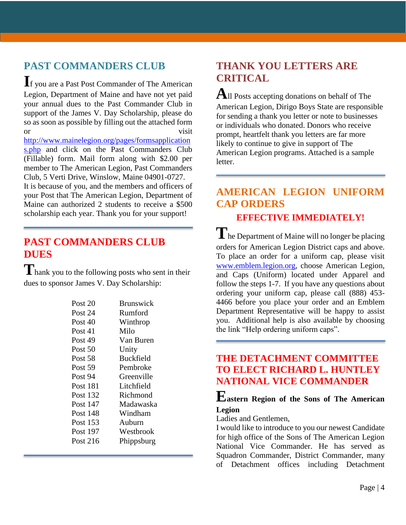## **PAST COMMANDERS CLUB**

**I**f you are a Past Post Commander of The American Legion, Department of Maine and have not yet paid your annual dues to the Past Commander Club in support of the James V. Day Scholarship, please do so as soon as possible by filling out the attached form or visit

[http://www.mainelegion.org/pages/formsapplication](http://www.mainelegion.org/pages/formsapplications.php) [s.php](http://www.mainelegion.org/pages/formsapplications.php) and click on the Past Commanders Club (Fillable) form. Mail form along with \$2.00 per member to The American Legion, Past Commanders Club, 5 Verti Drive, Winslow, Maine 04901-0727.

It is because of you, and the members and officers of your Post that The American Legion, Department of Maine can authorized 2 students to receive a \$500 scholarship each year. Thank you for your support!

## **PAST COMMANDERS CLUB DUES**

**T**hank you to the following posts who sent in their dues to sponsor James V. Day Scholarship:

| Post 20         | <b>Brunswick</b> |
|-----------------|------------------|
| Post 24         | Rumford          |
| Post 40         | Winthrop         |
| Post 41         | Milo             |
| Post 49         | Van Buren        |
| Post 50         | Unity            |
| Post 58         | <b>Buckfield</b> |
| Post 59         | Pembroke         |
| Post 94         | Greenville       |
| <b>Post 181</b> | Litchfield       |
| Post 132        | Richmond         |
| Post 147        | Madawaska        |
| Post 148        | Windham          |
| Post 153        | Auburn           |
| Post 197        | Westbrook        |
| Post 216        | Phippsburg       |
|                 |                  |

## **THANK YOU LETTERS ARE CRITICAL**

**A**ll Posts accepting donations on behalf of The American Legion, Dirigo Boys State are responsible for sending a thank you letter or note to businesses or individuals who donated. Donors who receive prompt, heartfelt thank you letters are far more likely to continue to give in support of The American Legion programs. Attached is a sample letter.

# **AMERICAN LEGION UNIFORM CAP ORDERS**

### **EFFECTIVE IMMEDIATELY!**

The Department of Maine will no longer be placing orders for American Legion District caps and above. To place an order for a uniform cap, please visit [www.emblem.legion.org,](http://www.emblem.legion.org/) choose American Legion, and Caps (Uniform) located under Apparel and follow the steps 1-7. If you have any questions about ordering your uniform cap, please call (888) 453- 4466 before you place your order and an Emblem Department Representative will be happy to assist you. Additional help is also available by choosing the link "Help ordering uniform caps".

### **THE DETACHMENT COMMITTEE TO ELECT RICHARD L. HUNTLEY NATIONAL VICE COMMANDER**

#### **Eastern Region of the Sons of The American Legion**

Ladies and Gentlemen,

I would like to introduce to you our newest Candidate for high office of the Sons of The American Legion National Vice Commander. He has served as Squadron Commander, District Commander, many of Detachment offices including Detachment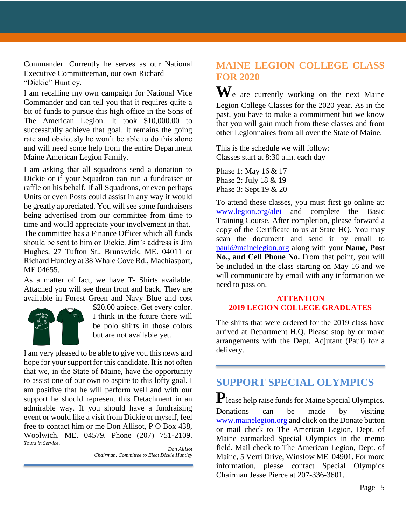Commander. Currently he serves as our National Executive Committeeman, our own Richard "Dickie" Huntley.

I am recalling my own campaign for National Vice Commander and can tell you that it requires quite a bit of funds to pursue this high office in the Sons of The American Legion. It took \$10,000.00 to successfully achieve that goal. It remains the going rate and obviously he won't be able to do this alone and will need some help from the entire Department Maine American Legion Family.

I am asking that all squadrons send a donation to Dickie or if your Squadron can run a fundraiser or raffle on his behalf. If all Squadrons, or even perhaps Units or even Posts could assist in any way it would be greatly appreciated. You will see some fundraisers being advertised from our committee from time to time and would appreciate your involvement in that. The committee has a Finance Officer which all funds should be sent to him or Dickie. Jim's address is Jim Hughes, 27 Tufton St., Brunswick, ME. 04011 or Richard Huntley at 38 Whale Cove Rd., Machiasport, ME 04655.

As a matter of fact, we have T- Shirts available. Attached you will see them front and back. They are available in Forest Green and Navy Blue and cost



\$20.00 apiece. Get every color. I think in the future there will be polo shirts in those colors but are not available yet.

I am very pleased to be able to give you this news and hope for your support for this candidate. It is not often that we, in the State of Maine, have the opportunity to assist one of our own to aspire to this lofty goal. I am positive that he will perform well and with our support he should represent this Detachment in an admirable way. If you should have a fundraising event or would like a visit from Dickie or myself, feel free to contact him or me Don Allisot, P O Box 438, Woolwich, ME. 04579, Phone (207) 751-2109. *Yours in Service,*

*Don Allisot Chairman, Committee to Elect Dickie Huntley*

### **MAINE LEGION COLLEGE CLASS FOR 2020**

**W**e are currently working on the next Maine Legion College Classes for the 2020 year. As in the past, you have to make a commitment but we know that you will gain much from these classes and from other Legionnaires from all over the State of Maine.

This is the schedule we will follow: Classes start at 8:30 a.m. each day

Phase 1: May 16 & 17 Phase 2: July 18 & 19 Phase 3: Sept.19 & 20

To attend these classes, you must first go online at: [www.legion.org/alei](http://www.legion.org/alei) and complete the Basic Training Course. After completion, please forward a copy of the Certificate to us at State HQ. You may scan the document and send it by email to [paul@mainelegion.org](mailto:paul@mainelegion.org) along with your **Name, Post No., and Cell Phone No.** From that point, you will be included in the class starting on May 16 and we will communicate by email with any information we need to pass on.

#### **ATTENTION 2019 LEGION COLLEGE GRADUATES**

The shirts that were ordered for the 2019 class have arrived at Department H.Q. Please stop by or make arrangements with the Dept. Adjutant (Paul) for a delivery.

## **SUPPORT SPECIAL OLYMPICS**

**P**lease help raise funds for Maine Special Olympics. Donations can be made by visiting [www.mainelegion.org](http://www.mainelegion.org/) and click on the Donate button or mail check to The American Legion, Dept. of Maine earmarked Special Olympics in the memo field. Mail check to The American Legion, Dept. of Maine, 5 Verti Drive, Winslow ME 04901. For more information, please contact Special Olympics Chairman Jesse Pierce at 207-336-3601.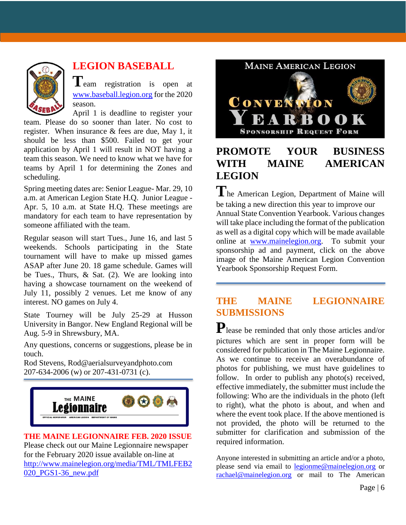

# **LEGION BASEBALL**

**T**eam registration is open at [www.baseball.legion.org](http://www.baseball.legion.org/) for the 2020 season.

April 1 is deadline to register your team. Please do so sooner than later. No cost to register. When insurance & fees are due, May 1, it should be less than \$500. Failed to get your application by April 1 will result in NOT having a team this season. We need to know what we have for teams by April 1 for determining the Zones and scheduling.

Spring meeting dates are: Senior League- Mar. 29, 10 a.m. at American Legion State H.Q. Junior League - Apr. 5, 10 a.m. at State H.Q. These meetings are mandatory for each team to have representation by someone affiliated with the team.

Regular season will start Tues., June 16, and last 5 weekends. Schools participating in the State tournament will have to make up missed games ASAP after June 20. 18 game schedule. Games will be Tues., Thurs, & Sat. (2). We are looking into having a showcase tournament on the weekend of July 11, possibly 2 venues. Let me know of any interest. NO games on July 4.

State Tourney will be July 25-29 at Husson University in Bangor. New England Regional will be Aug. 5-9 in Shrewsbury, MA.

Any questions, concerns or suggestions, please be in touch.

Rod Stevens, Rod@aerialsurveyandphoto.com 207-634-2006 (w) or 207-431-0731 (c).



**THE MAINE LEGIONNAIRE FEB. 2020 ISSUE** Please check out our Maine Legionnaire newspaper for the February 2020 issue available on-line at [http://www.mainelegion.org/media/TML/TMLFEB2](http://www.mainelegion.org/media/TML/TMLFEB2020_PGS1-36_new.pdf) [020\\_PGS1-36\\_new.pdf](http://www.mainelegion.org/media/TML/TMLFEB2020_PGS1-36_new.pdf)



# **PROMOTE YOUR BUSINESS WITH MAINE AMERICAN LEGION**

**T**he American Legion, Department of Maine will be taking a new direction this year to improve our Annual State Convention Yearbook. Various changes will take place including the format of the publication as well as a digital copy which will be made available online at [www.mainelegion.org.](http://www.mainelegion.org/) To submit your sponsorship ad and payment, click on the above image of the Maine American Legion Convention Yearbook Sponsorship Request Form.

## **THE MAINE LEGIONNAIRE SUBMISSIONS**

**P**lease be reminded that only those articles and/or pictures which are sent in proper form will be considered for publication in The Maine Legionnaire. As we continue to receive an overabundance of photos for publishing, we must have guidelines to follow. In order to publish any photo(s) received, effective immediately, the submitter must include the following: Who are the individuals in the photo (left to right), what the photo is about, and when and where the event took place. If the above mentioned is not provided, the photo will be returned to the submitter for clarification and submission of the required information.

Anyone interested in submitting an article and/or a photo, please send via email to **legionme@mainelegion.org** or [rachael@mainelegion.org](mailto:rachael@mainelegion.org) or mail to The American